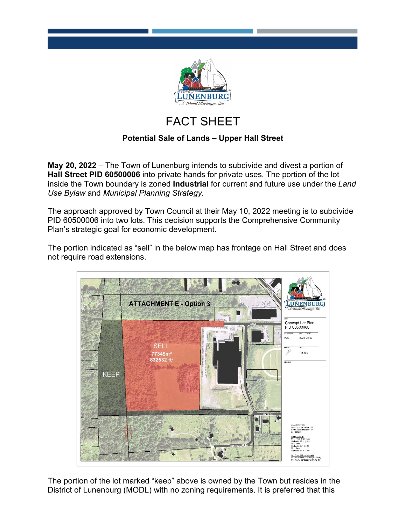

## FACT SHEET

## **Potential Sale of Lands – Upper Hall Street**

**May 20, 2022** – The Town of Lunenburg intends to subdivide and divest a portion of **Hall Street PID 60500006** into private hands for private uses. The portion of the lot inside the Town boundary is zoned **Industrial** for current and future use under the *Land Use Bylaw* and *Municipal Planning Strategy.*

The approach approved by Town Council at their May 10, 2022 meeting is to subdivide PID 60500006 into two lots. This decision supports the Comprehensive Community Plan's strategic goal for economic development.

The portion indicated as "sell" in the below map has frontage on Hall Street and does not require road extensions.



The portion of the lot marked "keep" above is owned by the Town but resides in the District of Lunenburg (MODL) with no zoning requirements. It is preferred that this